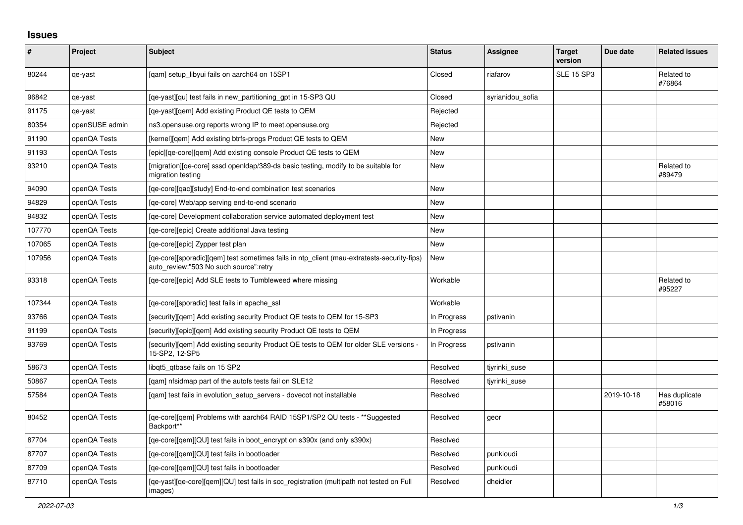## **Issues**

| $\vert$ # | Project        | <b>Subject</b>                                                                                                                       | <b>Status</b> | <b>Assignee</b>  | Target<br>version | Due date   | <b>Related issues</b>   |
|-----------|----------------|--------------------------------------------------------------------------------------------------------------------------------------|---------------|------------------|-------------------|------------|-------------------------|
| 80244     | qe-yast        | [gam] setup libyui fails on aarch64 on 15SP1                                                                                         | Closed        | riafarov         | <b>SLE 15 SP3</b> |            | Related to<br>#76864    |
| 96842     | qe-yast        | [ge-yast][gu] test fails in new partitioning gpt in 15-SP3 QU                                                                        | Closed        | syrianidou sofia |                   |            |                         |
| 91175     | qe-yast        | [ge-yast][gem] Add existing Product QE tests to QEM                                                                                  | Rejected      |                  |                   |            |                         |
| 80354     | openSUSE admin | ns3.opensuse.org reports wrong IP to meet.opensuse.org                                                                               | Rejected      |                  |                   |            |                         |
| 91190     | openQA Tests   | [kernel][gem] Add existing btrfs-progs Product QE tests to QEM                                                                       | <b>New</b>    |                  |                   |            |                         |
| 91193     | openQA Tests   | [epic][qe-core][qem] Add existing console Product QE tests to QEM                                                                    | New           |                  |                   |            |                         |
| 93210     | openQA Tests   | [migration][ge-core] sssd open dap/389-ds basic testing, modify to be suitable for<br>migration testing                              | New           |                  |                   |            | Related to<br>#89479    |
| 94090     | openQA Tests   | [qe-core][qac][study] End-to-end combination test scenarios                                                                          | <b>New</b>    |                  |                   |            |                         |
| 94829     | openQA Tests   | [ge-core] Web/app serving end-to-end scenario                                                                                        | New           |                  |                   |            |                         |
| 94832     | openQA Tests   | [ge-core] Development collaboration service automated deployment test                                                                | New           |                  |                   |            |                         |
| 107770    | openQA Tests   | [qe-core][epic] Create additional Java testing                                                                                       | <b>New</b>    |                  |                   |            |                         |
| 107065    | openQA Tests   | [qe-core][epic] Zypper test plan                                                                                                     | New           |                  |                   |            |                         |
| 107956    | openQA Tests   | [ge-core][sporadic][gem] test sometimes fails in ntp client (mau-extratests-security-fips)<br>auto_review:"503 No such source":retry | New           |                  |                   |            |                         |
| 93318     | openQA Tests   | [qe-core][epic] Add SLE tests to Tumbleweed where missing                                                                            | Workable      |                  |                   |            | Related to<br>#95227    |
| 107344    | openQA Tests   | [qe-core][sporadic] test fails in apache_ssl                                                                                         | Workable      |                  |                   |            |                         |
| 93766     | openQA Tests   | [security][qem] Add existing security Product QE tests to QEM for 15-SP3                                                             | In Progress   | pstivanin        |                   |            |                         |
| 91199     | openQA Tests   | [security][epic][qem] Add existing security Product QE tests to QEM                                                                  | In Progress   |                  |                   |            |                         |
| 93769     | openQA Tests   | [security][gem] Add existing security Product QE tests to QEM for older SLE versions -<br>15-SP2, 12-SP5                             | In Progress   | pstivanin        |                   |            |                         |
| 58673     | openQA Tests   | libgt5 gtbase fails on 15 SP2                                                                                                        | Resolved      | tiyrinki suse    |                   |            |                         |
| 50867     | openQA Tests   | [gam] nfsidmap part of the autofs tests fail on SLE12                                                                                | Resolved      | tiyrinki suse    |                   |            |                         |
| 57584     | openQA Tests   | [gam] test fails in evolution setup servers - dovecot not installable                                                                | Resolved      |                  |                   | 2019-10-18 | Has duplicate<br>#58016 |
| 80452     | openQA Tests   | [qe-core][qem] Problems with aarch64 RAID 15SP1/SP2 QU tests - **Suggested<br>Backport**                                             | Resolved      | geor             |                   |            |                         |
| 87704     | openQA Tests   | [ge-core][gem][QU] test fails in boot encrypt on s390x (and only s390x)                                                              | Resolved      |                  |                   |            |                         |
| 87707     | openQA Tests   | [qe-core][qem][QU] test fails in bootloader                                                                                          | Resolved      | punkioudi        |                   |            |                         |
| 87709     | openQA Tests   | [qe-core][qem][QU] test fails in bootloader                                                                                          | Resolved      | punkioudi        |                   |            |                         |
| 87710     | openQA Tests   | [qe-yast][qe-core][qem][QU] test fails in scc_registration (multipath not tested on Full<br>images)                                  | Resolved      | dheidler         |                   |            |                         |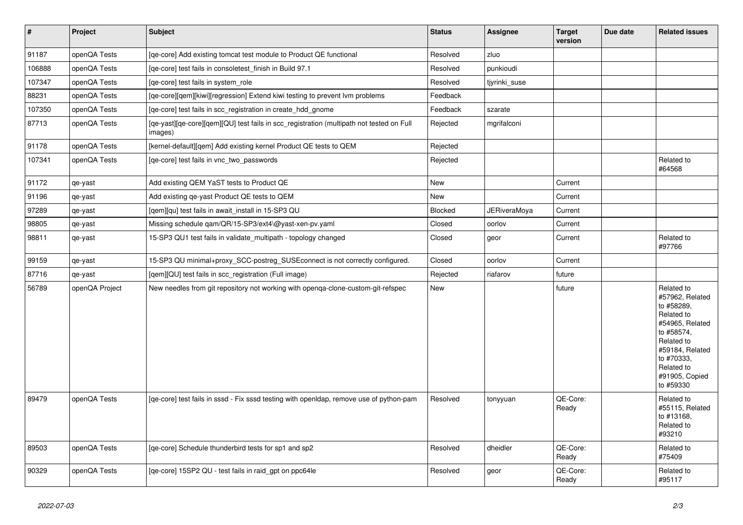| $\vert$ # | Project        | <b>Subject</b>                                                                                      | <b>Status</b> | <b>Assignee</b> | <b>Target</b><br>version | Due date | <b>Related issues</b>                                                                                                                                                                  |
|-----------|----------------|-----------------------------------------------------------------------------------------------------|---------------|-----------------|--------------------------|----------|----------------------------------------------------------------------------------------------------------------------------------------------------------------------------------------|
| 91187     | openQA Tests   | [qe-core] Add existing tomcat test module to Product QE functional                                  | Resolved      | zluo            |                          |          |                                                                                                                                                                                        |
| 106888    | openQA Tests   | [qe-core] test fails in consoletest_finish in Build 97.1                                            | Resolved      | punkioudi       |                          |          |                                                                                                                                                                                        |
| 107347    | openQA Tests   | [qe-core] test fails in system_role                                                                 | Resolved      | tjyrinki_suse   |                          |          |                                                                                                                                                                                        |
| 88231     | openQA Tests   | [qe-core][qem][kiwi][regression] Extend kiwi testing to prevent lvm problems                        | Feedback      |                 |                          |          |                                                                                                                                                                                        |
| 107350    | openQA Tests   | [qe-core] test fails in scc_registration in create_hdd_gnome                                        | Feedback      | szarate         |                          |          |                                                                                                                                                                                        |
| 87713     | openQA Tests   | [qe-yast][qe-core][qem][QU] test fails in scc_registration (multipath not tested on Full<br>images) | Rejected      | mgrifalconi     |                          |          |                                                                                                                                                                                        |
| 91178     | openQA Tests   | [kernel-default][qem] Add existing kernel Product QE tests to QEM                                   | Rejected      |                 |                          |          |                                                                                                                                                                                        |
| 107341    | openQA Tests   | [ge-core] test fails in vnc two passwords                                                           | Rejected      |                 |                          |          | Related to<br>#64568                                                                                                                                                                   |
| 91172     | qe-yast        | Add existing QEM YaST tests to Product QE                                                           | New           |                 | Current                  |          |                                                                                                                                                                                        |
| 91196     | qe-yast        | Add existing qe-yast Product QE tests to QEM                                                        | New           |                 | Current                  |          |                                                                                                                                                                                        |
| 97289     | qe-yast        | [qem][qu] test fails in await_install in 15-SP3 QU                                                  | Blocked       | JERiveraMoya    | Current                  |          |                                                                                                                                                                                        |
| 98805     | qe-yast        | Missing schedule qam/QR/15-SP3/ext4\@yast-xen-pv.yaml                                               | Closed        | oorlov          | Current                  |          |                                                                                                                                                                                        |
| 98811     | qe-yast        | 15-SP3 QU1 test fails in validate_multipath - topology changed                                      | Closed        | geor            | Current                  |          | Related to<br>#97766                                                                                                                                                                   |
| 99159     | qe-yast        | 15-SP3 QU minimal+proxy_SCC-postreg_SUSEconnect is not correctly configured.                        | Closed        | oorlov          | Current                  |          |                                                                                                                                                                                        |
| 87716     | qe-yast        | [qem][QU] test fails in scc_registration (Full image)                                               | Rejected      | riafarov        | future                   |          |                                                                                                                                                                                        |
| 56789     | openQA Project | New needles from git repository not working with openga-clone-custom-git-refspec                    | New           |                 | future                   |          | Related to<br>#57962, Related<br>to #58289,<br>Related to<br>#54965, Related<br>to #58574,<br>Related to<br>#59184, Related<br>to #70333,<br>Related to<br>#91905, Copied<br>to #59330 |
| 89479     | openQA Tests   | [qe-core] test fails in sssd - Fix sssd testing with openIdap, remove use of python-pam             | Resolved      | tonyyuan        | QE-Core:<br>Ready        |          | Related to<br>#55115, Related<br>to #13168.<br>Related to<br>#93210                                                                                                                    |
| 89503     | openQA Tests   | [qe-core] Schedule thunderbird tests for sp1 and sp2                                                | Resolved      | dheidler        | QE-Core:<br>Ready        |          | Related to<br>#75409                                                                                                                                                                   |
| 90329     | openQA Tests   | [qe-core] 15SP2 QU - test fails in raid_gpt on ppc64le                                              | Resolved      | geor            | QE-Core:<br>Ready        |          | Related to<br>#95117                                                                                                                                                                   |